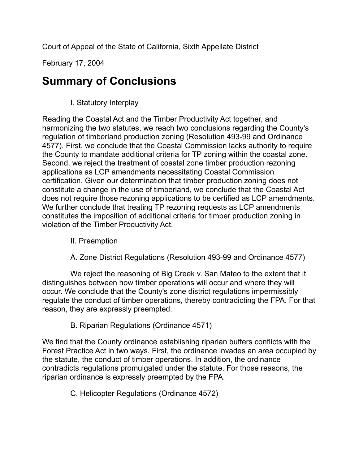Court of Appeal of the State of California, Sixth Appellate District

February 17, 2004

## **Summary of Conclusions**

I. Statutory Interplay

Reading the Coastal Act and the Timber Productivity Act together, and harmonizing the two statutes, we reach two conclusions regarding the County's regulation of timberland production zoning (Resolution 493-99 and Ordinance 4577). First, we conclude that the Coastal Commission lacks authority to require the County to mandate additional criteria for TP zoning within the coastal zone. Second, we reject the treatment of coastal zone timber production rezoning applications as LCP amendments necessitating Coastal Commission certification. Given our determination that timber production zoning does not constitute a change in the use of timberland, we conclude that the Coastal Act does not require those rezoning applications to be certified as LCP amendments. We further conclude that treating TP rezoning requests as LCP amendments constitutes the imposition of additional criteria for timber production zoning in violation of the Timber Productivity Act.

- II. Preemption
- A. Zone District Regulations (Resolution 493-99 and Ordinance 4577)

We reject the reasoning of Big Creek v. San Mateo to the extent that it distinguishes between how timber operations will occur and where they will occur. We conclude that the County's zone district regulations impermissibly regulate the conduct of timber operations, thereby contradicting the FPA. For that reason, they are expressly preempted.

## B. Riparian Regulations (Ordinance 4571)

We find that the County ordinance establishing riparian buffers conflicts with the Forest Practice Act in two ways. First, the ordinance invades an area occupied by the statute, the conduct of timber operations. In addition, the ordinance contradicts regulations promulgated under the statute. For those reasons, the riparian ordinance is expressly preempted by the FPA.

C. Helicopter Regulations (Ordinance 4572)